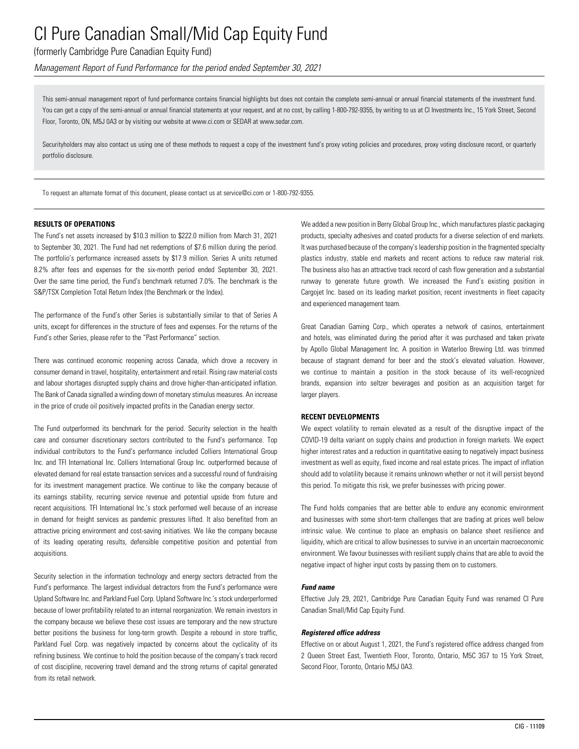(formerly Cambridge Pure Canadian Equity Fund)

*Management Report of Fund Performance for the period ended September 30, 2021*

This semi-annual management report of fund performance contains financial highlights but does not contain the complete semi-annual or annual financial statements of the investment fund. You can get a copy of the semi-annual or annual financial statements at your request, and at no cost, by calling 1-800-792-9355, by writing to us at CI Investments Inc., 15 York Street, Second Floor, Toronto, ON, M5J 0A3 or by visiting our website at www.ci.com or SEDAR at www.sedar.com.

Securityholders may also contact us using one of these methods to request a copy of the investment fund's proxy voting policies and procedures, proxy voting disclosure record, or quarterly portfolio disclosure.

To request an alternate format of this document, please contact us at service@ci.com or 1-800-792-9355.

#### **RESULTS OF OPERATIONS**

The Fund's net assets increased by \$10.3 million to \$222.0 million from March 31, 2021 to September 30, 2021. The Fund had net redemptions of \$7.6 million during the period. The portfolio's performance increased assets by \$17.9 million. Series A units returned 8.2% after fees and expenses for the six-month period ended September 30, 2021. Over the same time period, the Fund's benchmark returned 7.0%. The benchmark is the S&P/TSX Completion Total Return Index (the Benchmark or the Index).

The performance of the Fund's other Series is substantially similar to that of Series A units, except for differences in the structure of fees and expenses. For the returns of the Fund's other Series, please refer to the "Past Performance" section.

There was continued economic reopening across Canada, which drove a recovery in consumer demand in travel, hospitality, entertainment and retail. Rising raw material costs and labour shortages disrupted supply chains and drove higher-than-anticipated inflation. The Bank of Canada signalled a winding down of monetary stimulus measures. An increase in the price of crude oil positively impacted profits in the Canadian energy sector.

The Fund outperformed its benchmark for the period. Security selection in the health care and consumer discretionary sectors contributed to the Fund's performance. Top individual contributors to the Fund's performance included Colliers International Group Inc. and TFI International Inc. Colliers International Group Inc. outperformed because of elevated demand for real estate transaction services and a successful round of fundraising for its investment management practice. We continue to like the company because of its earnings stability, recurring service revenue and potential upside from future and recent acquisitions. TFI International Inc.'s stock performed well because of an increase in demand for freight services as pandemic pressures lifted. It also benefited from an attractive pricing environment and cost-saving initiatives. We like the company because of its leading operating results, defensible competitive position and potential from acquisitions.

Security selection in the information technology and energy sectors detracted from the Fund's performance. The largest individual detractors from the Fund's performance were Upland Software Inc. and Parkland Fuel Corp. Upland Software Inc.'s stock underperformed because of lower profitability related to an internal reorganization. We remain investors in the company because we believe these cost issues are temporary and the new structure better positions the business for long-term growth. Despite a rebound in store traffic, Parkland Fuel Corp. was negatively impacted by concerns about the cyclicality of its refining business. We continue to hold the position because of the company's track record of cost discipline, recovering travel demand and the strong returns of capital generated from its retail network.

We added a new position in Berry Global Group Inc., which manufactures plastic packaging products, specialty adhesives and coated products for a diverse selection of end markets. It was purchased because of the company's leadership position in the fragmented specialty plastics industry, stable end markets and recent actions to reduce raw material risk. The business also has an attractive track record of cash flow generation and a substantial runway to generate future growth. We increased the Fund's existing position in Cargojet Inc. based on its leading market position, recent investments in fleet capacity and experienced management team.

Great Canadian Gaming Corp., which operates a network of casinos, entertainment and hotels, was eliminated during the period after it was purchased and taken private by Apollo Global Management Inc. A position in Waterloo Brewing Ltd. was trimmed because of stagnant demand for beer and the stock's elevated valuation. However, we continue to maintain a position in the stock because of its well-recognized brands, expansion into seltzer beverages and position as an acquisition target for larger players.

#### **RECENT DEVELOPMENTS**

We expect volatility to remain elevated as a result of the disruptive impact of the COVID-19 delta variant on supply chains and production in foreign markets. We expect higher interest rates and a reduction in quantitative easing to negatively impact business investment as well as equity, fixed income and real estate prices. The impact of inflation should add to volatility because it remains unknown whether or not it will persist beyond this period. To mitigate this risk, we prefer businesses with pricing power.

The Fund holds companies that are better able to endure any economic environment and businesses with some short-term challenges that are trading at prices well below intrinsic value. We continue to place an emphasis on balance sheet resilience and liquidity, which are critical to allow businesses to survive in an uncertain macroeconomic environment. We favour businesses with resilient supply chains that are able to avoid the negative impact of higher input costs by passing them on to customers.

### *Fund name*

Effective July 29, 2021, Cambridge Pure Canadian Equity Fund was renamed CI Pure Canadian Small/Mid Cap Equity Fund.

#### *Registered office address*

Effective on or about August 1, 2021, the Fund's registered office address changed from 2 Queen Street East, Twentieth Floor, Toronto, Ontario, M5C 3G7 to 15 York Street, Second Floor, Toronto, Ontario M5J 0A3.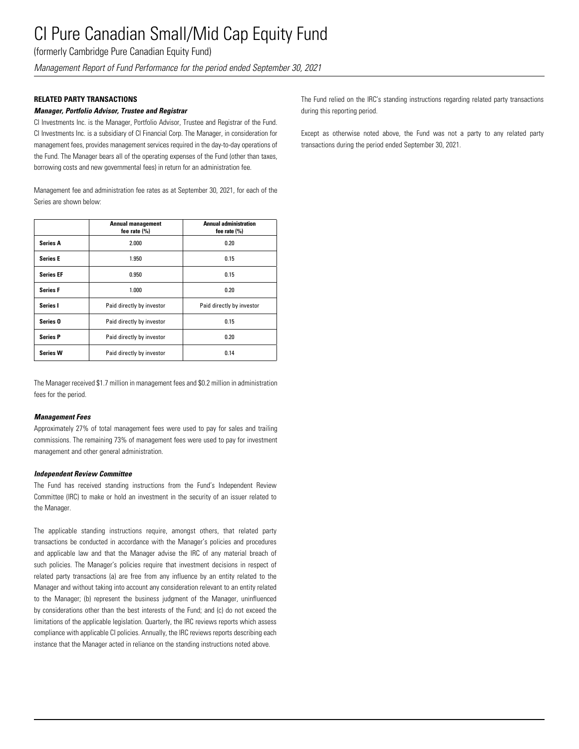(formerly Cambridge Pure Canadian Equity Fund)

*Management Report of Fund Performance for the period ended September 30, 2021*

### **RELATED PARTY TRANSACTIONS**

### *Manager, Portfolio Advisor, Trustee and Registrar*

CI Investments Inc. is the Manager, Portfolio Advisor, Trustee and Registrar of the Fund. CI Investments Inc. is a subsidiary of CI Financial Corp. The Manager, in consideration for management fees, provides management services required in the day-to-day operations of the Fund. The Manager bears all of the operating expenses of the Fund (other than taxes, borrowing costs and new governmental fees) in return for an administration fee.

Management fee and administration fee rates as at September 30, 2021, for each of the Series are shown below:

|                     | <b>Annual management</b><br>fee rate $(\%)$ | <b>Annual administration</b><br>fee rate $(\% )$ |
|---------------------|---------------------------------------------|--------------------------------------------------|
| <b>Series A</b>     | 2.000                                       | 0.20                                             |
| <b>Series E</b>     | 1.950                                       | 0.15                                             |
| <b>Series EF</b>    | 0.950                                       | 0.15                                             |
| <b>Series F</b>     | 1.000                                       | 0.20                                             |
| Series I            | Paid directly by investor                   | Paid directly by investor                        |
| Series <sub>0</sub> | Paid directly by investor                   | 0.15                                             |
| <b>Series P</b>     | Paid directly by investor                   | 0.20                                             |
| <b>Series W</b>     | Paid directly by investor                   | 0.14                                             |

The Manager received \$1.7 million in management fees and \$0.2 million in administration fees for the period.

#### *Management Fees*

Approximately 27% of total management fees were used to pay for sales and trailing commissions. The remaining 73% of management fees were used to pay for investment management and other general administration.

#### *Independent Review Committee*

The Fund has received standing instructions from the Fund's Independent Review Committee (IRC) to make or hold an investment in the security of an issuer related to the Manager.

The applicable standing instructions require, amongst others, that related party transactions be conducted in accordance with the Manager's policies and procedures and applicable law and that the Manager advise the IRC of any material breach of such policies. The Manager's policies require that investment decisions in respect of related party transactions (a) are free from any influence by an entity related to the Manager and without taking into account any consideration relevant to an entity related to the Manager; (b) represent the business judgment of the Manager, uninfluenced by considerations other than the best interests of the Fund; and (c) do not exceed the limitations of the applicable legislation. Quarterly, the IRC reviews reports which assess compliance with applicable CI policies. Annually, the IRC reviews reports describing each instance that the Manager acted in reliance on the standing instructions noted above.

The Fund relied on the IRC's standing instructions regarding related party transactions during this reporting period.

Except as otherwise noted above, the Fund was not a party to any related party transactions during the period ended September 30, 2021.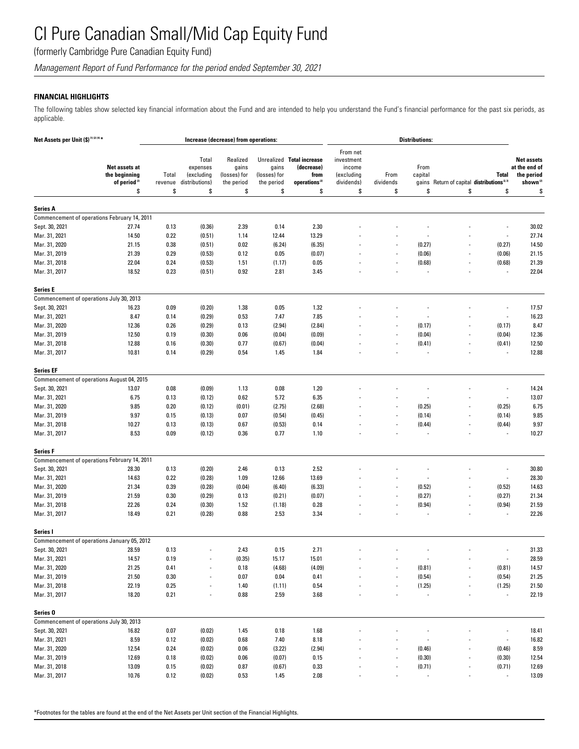(formerly Cambridge Pure Canadian Equity Fund)

*Management Report of Fund Performance for the period ended September 30, 2021*

## **FINANCIAL HIGHLIGHTS**

The following tables show selected key financial information about the Fund and are intended to help you understand the Fund's financial performance for the past six periods, as applicable.

| Net Assets per Unit (\$) <sup>(1)(2)(4)*</sup> |                                                            | Increase (decrease) from operations: |                                                   |                                                 |                                     |                                                                              | <b>Distributions:</b>                                        |                          |                          |                                                       |                          |                                                                          |
|------------------------------------------------|------------------------------------------------------------|--------------------------------------|---------------------------------------------------|-------------------------------------------------|-------------------------------------|------------------------------------------------------------------------------|--------------------------------------------------------------|--------------------------|--------------------------|-------------------------------------------------------|--------------------------|--------------------------------------------------------------------------|
|                                                | Net assets at<br>the beginning<br>of period <sup>(2)</sup> | Total<br>revenue                     | Total<br>expenses<br>(excluding<br>distributions) | Realized<br>gains<br>(losses) for<br>the period | gains<br>(losses) for<br>the period | Unrealized Total increase<br>(decrease)<br>from<br>operations <sup>(2)</sup> | From net<br>investment<br>income<br>(excluding<br>dividends) | From<br>dividends        | From<br>capital          | gains Return of capital distributions <sup>2,3)</sup> | <b>Total</b>             | <b>Net assets</b><br>at the end of<br>the period<br>shown <sup>(2)</sup> |
|                                                | \$                                                         | \$                                   | \$                                                | \$                                              | \$                                  | \$                                                                           | \$                                                           | \$                       | \$                       | \$                                                    | \$                       | \$                                                                       |
| <b>Series A</b>                                |                                                            |                                      |                                                   |                                                 |                                     |                                                                              |                                                              |                          |                          |                                                       |                          |                                                                          |
|                                                | Commencement of operations February 14, 2011               |                                      |                                                   |                                                 |                                     |                                                                              |                                                              |                          |                          |                                                       |                          |                                                                          |
| Sept. 30, 2021                                 | 27.74                                                      | 0.13                                 | (0.36)                                            | 2.39                                            | 0.14                                | 2.30                                                                         |                                                              |                          |                          |                                                       | J.                       | 30.02                                                                    |
| Mar. 31, 2021                                  | 14.50                                                      | 0.22                                 | (0.51)                                            | 1.14                                            | 12.44                               | 13.29                                                                        |                                                              |                          |                          |                                                       | $\overline{\phantom{a}}$ | 27.74                                                                    |
| Mar. 31, 2020                                  | 21.15                                                      | 0.38                                 | (0.51)                                            | 0.02                                            | (6.24)                              | (6.35)                                                                       |                                                              | $\blacksquare$           | (0.27)                   |                                                       | (0.27)                   | 14.50                                                                    |
| Mar. 31, 2019                                  | 21.39                                                      | 0.29                                 | (0.53)                                            | 0.12                                            | 0.05                                | (0.07)                                                                       |                                                              |                          | (0.06)                   |                                                       | (0.06)                   | 21.15                                                                    |
| Mar. 31, 2018                                  | 22.04                                                      | 0.24                                 | (0.53)                                            | 1.51                                            | (1.17)                              | 0.05                                                                         |                                                              |                          | (0.68)                   |                                                       | (0.68)                   | 21.39                                                                    |
| Mar. 31, 2017                                  | 18.52                                                      | 0.23                                 | (0.51)                                            | 0.92                                            | 2.81                                | 3.45                                                                         |                                                              |                          |                          |                                                       | $\overline{\phantom{a}}$ | 22.04                                                                    |
|                                                |                                                            |                                      |                                                   |                                                 |                                     |                                                                              |                                                              |                          |                          |                                                       |                          |                                                                          |
| <b>Series E</b>                                |                                                            |                                      |                                                   |                                                 |                                     |                                                                              |                                                              |                          |                          |                                                       |                          |                                                                          |
| Commencement of operations July 30, 2013       |                                                            |                                      |                                                   |                                                 |                                     |                                                                              |                                                              |                          |                          |                                                       |                          |                                                                          |
| Sept. 30, 2021                                 | 16.23                                                      | 0.09                                 | (0.20)                                            | 1.38                                            | 0.05                                | 1.32                                                                         |                                                              |                          |                          |                                                       | $\overline{a}$           | 17.57                                                                    |
| Mar. 31, 2021                                  | 8.47                                                       | 0.14                                 | (0.29)                                            | 0.53                                            | 7.47                                | 7.85                                                                         |                                                              |                          |                          |                                                       | $\overline{\phantom{a}}$ | 16.23                                                                    |
| Mar. 31, 2020                                  | 12.36                                                      | 0.26                                 | (0.29)                                            | 0.13                                            | (2.94)                              | (2.84)                                                                       |                                                              |                          | (0.17)                   |                                                       | (0.17)                   | 8.47                                                                     |
| Mar. 31, 2019                                  | 12.50                                                      | 0.19                                 | (0.30)                                            | 0.06                                            | (0.04)                              | (0.09)                                                                       |                                                              | $\overline{a}$           | (0.04)                   |                                                       | (0.04)                   | 12.36                                                                    |
| Mar. 31, 2018                                  | 12.88                                                      | 0.16                                 | (0.30)                                            | 0.77                                            | (0.67)                              | (0.04)                                                                       |                                                              |                          | (0.41)                   |                                                       | (0.41)                   | 12.50                                                                    |
| Mar. 31, 2017                                  | 10.81                                                      | 0.14                                 | (0.29)                                            | 0.54                                            | 1.45                                | 1.84                                                                         |                                                              |                          | $\overline{a}$           |                                                       | $\overline{\phantom{a}}$ | 12.88                                                                    |
| <b>Series EF</b>                               |                                                            |                                      |                                                   |                                                 |                                     |                                                                              |                                                              |                          |                          |                                                       |                          |                                                                          |
|                                                | Commencement of operations August 04, 2015                 |                                      |                                                   |                                                 |                                     |                                                                              |                                                              |                          |                          |                                                       |                          |                                                                          |
| Sept. 30, 2021                                 | 13.07                                                      | 0.08                                 | (0.09)                                            | 1.13                                            | 0.08                                | 1.20                                                                         |                                                              |                          |                          |                                                       |                          | 14.24                                                                    |
| Mar. 31, 2021                                  | 6.75                                                       | 0.13                                 | (0.12)                                            | 0.62                                            | 5.72                                | 6.35                                                                         |                                                              |                          | $\overline{a}$           |                                                       | $\overline{\phantom{a}}$ | 13.07                                                                    |
| Mar. 31, 2020                                  | 9.85                                                       | 0.20                                 | (0.12)                                            | (0.01)                                          | (2.75)                              | (2.68)                                                                       |                                                              |                          | (0.25)                   |                                                       | (0.25)                   | 6.75                                                                     |
| Mar. 31, 2019                                  | 9.97                                                       | 0.15                                 | (0.13)                                            | 0.07                                            | (0.54)                              | (0.45)                                                                       |                                                              | $\overline{\phantom{a}}$ | (0.14)                   | J.                                                    | (0.14)                   | 9.85                                                                     |
| Mar. 31, 2018                                  | 10.27                                                      | 0.13                                 | (0.13)                                            | 0.67                                            | (0.53)                              | 0.14                                                                         |                                                              |                          | (0.44)                   |                                                       | (0.44)                   | 9.97                                                                     |
| Mar. 31, 2017                                  | 8.53                                                       | 0.09                                 | (0.12)                                            | 0.36                                            | 0.77                                | 1.10                                                                         |                                                              |                          |                          |                                                       | $\sim$                   | 10.27                                                                    |
|                                                |                                                            |                                      |                                                   |                                                 |                                     |                                                                              |                                                              |                          |                          |                                                       |                          |                                                                          |
| <b>Series F</b>                                |                                                            |                                      |                                                   |                                                 |                                     |                                                                              |                                                              |                          |                          |                                                       |                          |                                                                          |
|                                                | Commencement of operations February 14, 2011               |                                      |                                                   |                                                 |                                     |                                                                              |                                                              |                          |                          |                                                       |                          |                                                                          |
| Sept. 30, 2021                                 | 28.30                                                      | 0.13                                 | (0.20)                                            | 2.46                                            | 0.13                                | 2.52                                                                         |                                                              |                          |                          |                                                       |                          | 30.80                                                                    |
| Mar. 31, 2021                                  | 14.63                                                      | 0.22                                 | (0.28)                                            | 1.09                                            | 12.66                               | 13.69                                                                        |                                                              |                          |                          |                                                       | $\overline{a}$           | 28.30                                                                    |
| Mar. 31, 2020                                  | 21.34                                                      | 0.39                                 | (0.28)                                            | (0.04)                                          | (6.40)                              | (6.33)                                                                       |                                                              |                          | (0.52)                   |                                                       | (0.52)                   | 14.63                                                                    |
| Mar. 31, 2019                                  | 21.59                                                      | 0.30                                 | (0.29)                                            | 0.13                                            | (0.21)                              | (0.07)                                                                       |                                                              |                          | (0.27)                   |                                                       | (0.27)                   | 21.34                                                                    |
| Mar. 31, 2018                                  | 22.26                                                      | 0.24                                 | (0.30)                                            | 1.52                                            | (1.18)                              | 0.28                                                                         |                                                              |                          | (0.94)                   | $\overline{a}$                                        | (0.94)                   | 21.59                                                                    |
| Mar. 31, 2017                                  | 18.49                                                      | 0.21                                 | (0.28)                                            | 0.88                                            | 2.53                                | 3.34                                                                         |                                                              |                          |                          |                                                       | $\overline{\phantom{a}}$ | 22.26                                                                    |
| Series I                                       |                                                            |                                      |                                                   |                                                 |                                     |                                                                              |                                                              |                          |                          |                                                       |                          |                                                                          |
|                                                | Commencement of operations January 05, 2012                |                                      |                                                   |                                                 |                                     |                                                                              |                                                              |                          |                          |                                                       |                          |                                                                          |
| Sept. 30, 2021                                 | 28.59                                                      | 0.13                                 |                                                   | 2.43                                            | 0.15                                | 2.71                                                                         |                                                              |                          |                          |                                                       |                          | 31.33                                                                    |
| Mar. 31, 2021                                  | 14.57                                                      | 0.19                                 |                                                   | (0.35)                                          | 15.17                               | 15.01                                                                        |                                                              |                          |                          |                                                       |                          | 28.59                                                                    |
| Mar. 31, 2020                                  | 21.25                                                      | 0.41                                 | $\overline{\phantom{a}}$                          | 0.18                                            | (4.68)                              | (4.09)                                                                       |                                                              | $\overline{\phantom{a}}$ | (0.81)                   |                                                       | (0.81)                   | 14.57                                                                    |
| Mar. 31, 2019                                  | 21.50                                                      | 0.30                                 |                                                   | 0.07                                            | 0.04                                | 0.41                                                                         |                                                              |                          | (0.54)                   |                                                       | (0.54)                   | 21.25                                                                    |
| Mar. 31, 2018                                  | 22.19                                                      | 0.25                                 |                                                   | 1.40                                            | (1.11)                              | 0.54                                                                         |                                                              |                          | (1.25)                   |                                                       | (1.25)                   | 21.50                                                                    |
| Mar. 31, 2017                                  | 18.20                                                      | 0.21                                 |                                                   | 0.88                                            | 2.59                                | 3.68                                                                         |                                                              |                          |                          |                                                       | $\overline{\phantom{a}}$ | 22.19                                                                    |
| Series <sub>0</sub>                            |                                                            |                                      |                                                   |                                                 |                                     |                                                                              |                                                              |                          |                          |                                                       |                          |                                                                          |
| Commencement of operations July 30, 2013       |                                                            |                                      |                                                   |                                                 |                                     |                                                                              |                                                              |                          |                          |                                                       |                          |                                                                          |
| Sept. 30, 2021                                 | 16.82                                                      | 0.07                                 | (0.02)                                            | 1.45                                            | 0.18                                | 1.68                                                                         |                                                              |                          |                          |                                                       |                          | 18.41                                                                    |
| Mar. 31, 2021                                  | 8.59                                                       | 0.12                                 | (0.02)                                            | 0.68                                            | 7.40                                | 8.18                                                                         |                                                              |                          |                          |                                                       | $\overline{\phantom{a}}$ | 16.82                                                                    |
| Mar. 31, 2020                                  | 12.54                                                      | 0.24                                 | (0.02)                                            | 0.06                                            | (3.22)                              | (2.94)                                                                       |                                                              |                          | (0.46)                   |                                                       | (0.46)                   | 8.59                                                                     |
| Mar. 31, 2019                                  | 12.69                                                      | 0.18                                 | (0.02)                                            | 0.06                                            | (0.07)                              | 0.15                                                                         |                                                              | $\overline{a}$           | (0.30)                   |                                                       | (0.30)                   | 12.54                                                                    |
| Mar. 31, 2018                                  | 13.09                                                      | 0.15                                 | (0.02)                                            | 0.87                                            | (0.67)                              | 0.33                                                                         |                                                              |                          | (0.71)                   | $\overline{\phantom{a}}$                              | (0.71)                   | 12.69                                                                    |
| Mar. 31, 2017                                  | 10.76                                                      | 0.12                                 | (0.02)                                            | 0.53                                            | 1.45                                | 2.08                                                                         |                                                              |                          | $\overline{\phantom{a}}$ | $\qquad \qquad \blacksquare$                          | $\overline{\phantom{a}}$ | 13.09                                                                    |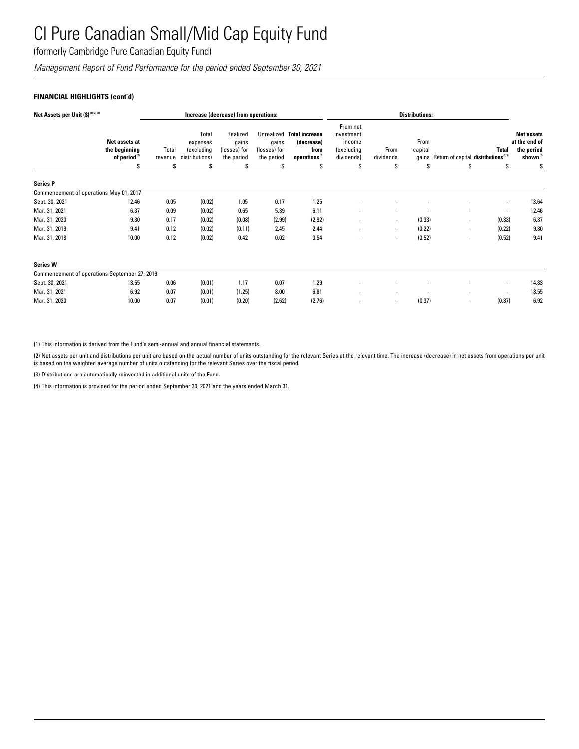(formerly Cambridge Pure Canadian Equity Fund)

*Management Report of Fund Performance for the period ended September 30, 2021*

## **FINANCIAL HIGHLIGHTS (cont'd)**

| Net Assets per Unit (\$)(1)(2)(4)             |                                                            | Increase (decrease) from operations: |                                                   |                                                 |                                                   |                                                                          | <b>Distributions:</b>                                        |                          |                          |                                                  |                          |                                                                          |
|-----------------------------------------------|------------------------------------------------------------|--------------------------------------|---------------------------------------------------|-------------------------------------------------|---------------------------------------------------|--------------------------------------------------------------------------|--------------------------------------------------------------|--------------------------|--------------------------|--------------------------------------------------|--------------------------|--------------------------------------------------------------------------|
|                                               | Net assets at<br>the beginning<br>of period <sup>(2)</sup> | Total<br>revenue                     | Total<br>expenses<br>(excluding<br>distributions) | Realized<br>gains<br>(losses) for<br>the period | Unrealized<br>gains<br>(losses) for<br>the period | <b>Total increase</b><br>(decrease)<br>from<br>operations <sup>(2)</sup> | From net<br>investment<br>income<br>(excluding<br>dividends) | From<br>dividends        | From<br>capital<br>gains | Return of capital distributions <sup>(2,3)</sup> | <b>Total</b>             | <b>Net assets</b><br>at the end of<br>the period<br>shown <sup>(2)</sup> |
|                                               | \$                                                         | \$                                   | \$                                                | \$                                              | \$                                                | \$                                                                       | S                                                            | \$                       | \$                       | \$                                               | \$                       | S                                                                        |
| <b>Series P</b>                               |                                                            |                                      |                                                   |                                                 |                                                   |                                                                          |                                                              |                          |                          |                                                  |                          |                                                                          |
| Commencement of operations May 01, 2017       |                                                            |                                      |                                                   |                                                 |                                                   |                                                                          |                                                              |                          |                          |                                                  |                          |                                                                          |
| Sept. 30, 2021                                | 12.46                                                      | 0.05                                 | (0.02)                                            | 1.05                                            | 0.17                                              | 1.25                                                                     |                                                              |                          |                          |                                                  | $\blacksquare$           | 13.64                                                                    |
| Mar. 31, 2021                                 | 6.37                                                       | 0.09                                 | (0.02)                                            | 0.65                                            | 5.39                                              | 6.11                                                                     |                                                              | $\overline{\phantom{a}}$ | $\overline{\phantom{a}}$ |                                                  | $\overline{\phantom{a}}$ | 12.46                                                                    |
| Mar. 31, 2020                                 | 9.30                                                       | 0.17                                 | (0.02)                                            | (0.08)                                          | (2.99)                                            | (2.92)                                                                   |                                                              | $\overline{\phantom{a}}$ | (0.33)                   | $\blacksquare$                                   | (0.33)                   | 6.37                                                                     |
| Mar. 31, 2019                                 | 9.41                                                       | 0.12                                 | (0.02)                                            | (0.11)                                          | 2.45                                              | 2.44                                                                     |                                                              | $\overline{\phantom{a}}$ | (0.22)                   | $\blacksquare$                                   | (0.22)                   | 9.30                                                                     |
| Mar. 31, 2018                                 | 10.00                                                      | 0.12                                 | (0.02)                                            | 0.42                                            | 0.02                                              | 0.54                                                                     | ۰                                                            | $\overline{\phantom{a}}$ | (0.52)                   | ٠                                                | (0.52)                   | 9.41                                                                     |
| <b>Series W</b>                               |                                                            |                                      |                                                   |                                                 |                                                   |                                                                          |                                                              |                          |                          |                                                  |                          |                                                                          |
| Commencement of operations September 27, 2019 |                                                            |                                      |                                                   |                                                 |                                                   |                                                                          |                                                              |                          |                          |                                                  |                          |                                                                          |
| Sept. 30, 2021                                | 13.55                                                      | 0.06                                 | (0.01)                                            | 1.17                                            | 0.07                                              | 1.29                                                                     |                                                              |                          |                          |                                                  | $\overline{\phantom{a}}$ | 14.83                                                                    |
| Mar. 31, 2021                                 | 6.92                                                       | 0.07                                 | (0.01)                                            | (1.25)                                          | 8.00                                              | 6.81                                                                     |                                                              | $\overline{\phantom{a}}$ | $\overline{\phantom{a}}$ | $\blacksquare$                                   | $\overline{\phantom{a}}$ | 13.55                                                                    |
| Mar. 31, 2020                                 | 10.00                                                      | 0.07                                 | (0.01)                                            | (0.20)                                          | (2.62)                                            | (2.76)                                                                   |                                                              |                          | (0.37)                   |                                                  | (0.37)                   | 6.92                                                                     |

(1) This information is derived from the Fund's semi-annual and annual financial statements.

(2) Net assets per unit and distributions per unit are based on the actual number of units outstanding for the relevant Series at the relevant time. The increase (decrease) in net assets from operations per unit is based on the weighted average number of units outstanding for the relevant Series over the fiscal period.

(3) Distributions are automatically reinvested in additional units of the Fund.

(4) This information is provided for the period ended September 30, 2021 and the years ended March 31.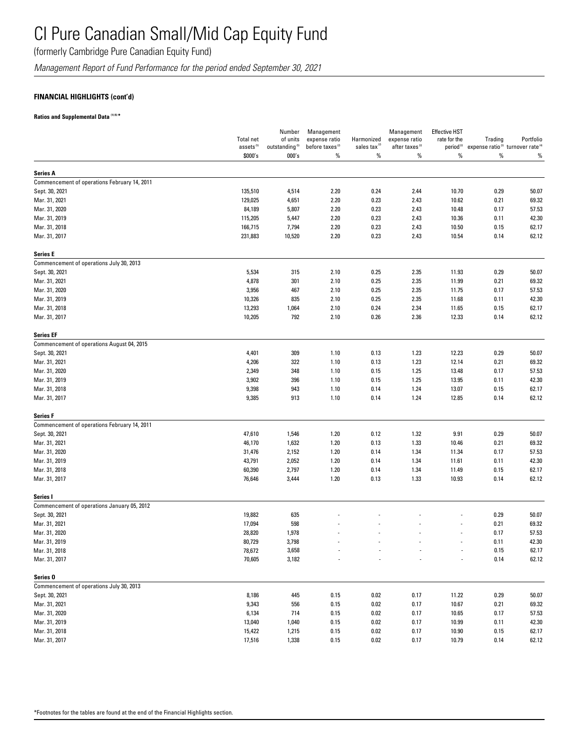(formerly Cambridge Pure Canadian Equity Fund)

*Management Report of Fund Performance for the period ended September 30, 2021*

## **FINANCIAL HIGHLIGHTS (cont'd)**

## **Ratios and Supplemental Data (1) (5) \***

|                                                            |                                  | Number                              | Management                       |                                        | Management                                  | <b>Effective HST</b> |                                                                                         |                |
|------------------------------------------------------------|----------------------------------|-------------------------------------|----------------------------------|----------------------------------------|---------------------------------------------|----------------------|-----------------------------------------------------------------------------------------|----------------|
|                                                            | <b>Total net</b>                 | of units                            | expense ratio                    | Harmonized<br>sales tax <sup>(2)</sup> | expense ratio<br>after taxes <sup>(2)</sup> | rate for the         | Trading                                                                                 | Portfolio      |
|                                                            | assets <sup>(5)</sup><br>\$000's | outstanding <sup>(5)</sup><br>000's | before taxes <sup>(2)</sup><br>% | $\%$                                   | %                                           | $\%$                 | period <sup>(2)</sup> expense ratio <sup>(3)</sup> turnover rate <sup>(4)</sup><br>$\%$ | %              |
| Series A                                                   |                                  |                                     |                                  |                                        |                                             |                      |                                                                                         |                |
| Commencement of operations February 14, 2011               |                                  |                                     |                                  |                                        |                                             |                      |                                                                                         |                |
| Sept. 30, 2021                                             | 135,510                          | 4,514                               | 2.20                             | 0.24                                   | 2.44                                        | 10.70                | 0.29                                                                                    | 50.07          |
| Mar. 31, 2021                                              | 129,025                          | 4,651                               | 2.20                             | 0.23                                   | 2.43                                        | 10.62                | 0.21                                                                                    | 69.32          |
| Mar. 31, 2020                                              | 84,189                           | 5,807                               | 2.20                             | 0.23                                   | 2.43                                        | 10.48                | 0.17                                                                                    | 57.53          |
| Mar. 31, 2019                                              | 115,205                          | 5,447                               | 2.20                             | 0.23                                   | 2.43                                        | 10.36                | 0.11                                                                                    | 42.30          |
| Mar. 31, 2018                                              | 166,715                          | 7,794                               | 2.20                             | 0.23                                   | 2.43                                        | 10.50                | 0.15                                                                                    | 62.17          |
| Mar. 31, 2017                                              | 231,883                          | 10,520                              | 2.20                             | 0.23                                   | 2.43                                        | 10.54                | 0.14                                                                                    | 62.12          |
| <b>Series E</b>                                            |                                  |                                     |                                  |                                        |                                             |                      |                                                                                         |                |
| Commencement of operations July 30, 2013                   |                                  |                                     |                                  |                                        |                                             |                      |                                                                                         |                |
| Sept. 30, 2021                                             | 5,534                            | 315                                 | 2.10                             | 0.25                                   | 2.35                                        | 11.93                | 0.29                                                                                    | 50.07          |
| Mar. 31, 2021                                              | 4,878                            | 301                                 | 2.10                             | 0.25                                   | 2.35                                        | 11.99                | 0.21                                                                                    | 69.32          |
| Mar. 31, 2020                                              | 3,956                            | 467                                 | 2.10                             | 0.25                                   | 2.35                                        | 11.75                | 0.17                                                                                    | 57.53          |
| Mar. 31, 2019                                              | 10,326                           | 835                                 | 2.10                             | 0.25                                   | 2.35                                        | 11.68                | 0.11                                                                                    | 42.30          |
| Mar. 31, 2018                                              | 13,293                           | 1,064                               | 2.10                             | 0.24                                   | 2.34                                        | 11.65                | 0.15                                                                                    | 62.17          |
| Mar. 31, 2017                                              | 10,205                           | 792                                 | 2.10                             | 0.26                                   | 2.36                                        | 12.33                | 0.14                                                                                    | 62.12          |
| <b>Series EF</b>                                           |                                  |                                     |                                  |                                        |                                             |                      |                                                                                         |                |
| Commencement of operations August 04, 2015                 |                                  |                                     |                                  |                                        |                                             |                      |                                                                                         |                |
| Sept. 30, 2021                                             | 4,401                            | 309                                 | 1.10                             | 0.13                                   | 1.23                                        | 12.23                | 0.29                                                                                    | 50.07          |
| Mar. 31, 2021                                              | 4,206                            | 322                                 | 1.10                             | 0.13                                   | 1.23                                        | 12.14                | 0.21                                                                                    | 69.32          |
| Mar. 31, 2020                                              | 2,349                            | 348                                 | 1.10                             | 0.15                                   | 1.25                                        | 13.48                | 0.17                                                                                    | 57.53          |
| Mar. 31, 2019                                              | 3,902                            | 396                                 | 1.10                             | 0.15                                   | 1.25                                        | 13.95                | 0.11                                                                                    | 42.30          |
| Mar. 31, 2018                                              | 9,398                            | 943                                 | 1.10                             | 0.14                                   | 1.24                                        | 13.07                | 0.15                                                                                    | 62.17          |
| Mar. 31, 2017                                              | 9,385                            | 913                                 | 1.10                             | 0.14                                   | 1.24                                        | 12.85                | 0.14                                                                                    | 62.12          |
| <b>Series F</b>                                            |                                  |                                     |                                  |                                        |                                             |                      |                                                                                         |                |
| Commencement of operations February 14, 2011               |                                  |                                     |                                  |                                        |                                             |                      |                                                                                         |                |
| Sept. 30, 2021                                             | 47,610                           | 1,546                               | 1.20                             | 0.12                                   | 1.32                                        | 9.91                 | 0.29                                                                                    | 50.07          |
| Mar. 31, 2021                                              | 46,170                           | 1,632                               | 1.20                             | 0.13                                   | 1.33                                        | 10.46                | 0.21                                                                                    | 69.32          |
| Mar. 31, 2020                                              | 31,476                           | 2,152                               | 1.20                             | 0.14                                   | 1.34                                        | 11.34                | 0.17                                                                                    | 57.53          |
| Mar. 31, 2019                                              | 43,791                           | 2,052                               | 1.20                             | 0.14                                   | 1.34                                        | 11.61                | 0.11                                                                                    | 42.30          |
| Mar. 31, 2018                                              | 60,390                           | 2,797                               | 1.20                             | 0.14                                   | 1.34                                        | 11.49                | 0.15                                                                                    | 62.17          |
| Mar. 31, 2017                                              | 76,646                           | 3,444                               | 1.20                             | 0.13                                   | 1.33                                        | 10.93                | 0.14                                                                                    | 62.12          |
| Series I                                                   |                                  |                                     |                                  |                                        |                                             |                      |                                                                                         |                |
| Commencement of operations January 05, 2012                |                                  |                                     |                                  |                                        |                                             |                      |                                                                                         |                |
| Sept. 30, 2021                                             | 19,882                           | 635                                 |                                  |                                        |                                             |                      | 0.29                                                                                    | 50.07          |
| Mar. 31, 2021                                              | 17,094                           | 598                                 |                                  |                                        |                                             |                      | 0.21                                                                                    | 69.32          |
| Mar. 31, 2020                                              | 28,820                           | 1,978                               |                                  |                                        |                                             |                      | 0.17                                                                                    | 57.53          |
| Mar. 31, 2019                                              | 80,729                           | 3,798                               |                                  |                                        |                                             |                      | 0.11                                                                                    | 42.30          |
| Mar. 31, 2018<br>Mar. 31, 2017                             | 78,672<br>70,605                 | 3,658<br>3,182                      |                                  |                                        |                                             | $\overline{a}$       | 0.15<br>0.14                                                                            | 62.17<br>62.12 |
|                                                            |                                  |                                     |                                  |                                        |                                             |                      |                                                                                         |                |
| Series 0                                                   |                                  |                                     |                                  |                                        |                                             |                      |                                                                                         |                |
| Commencement of operations July 30, 2013<br>Sept. 30, 2021 | 8,186                            | 445                                 | 0.15                             | 0.02                                   |                                             |                      | 0.29                                                                                    |                |
|                                                            |                                  |                                     |                                  |                                        | 0.17                                        | 11.22                |                                                                                         | 50.07          |
| Mar. 31, 2021                                              | 9,343                            | 556                                 | 0.15                             | 0.02                                   | 0.17                                        | 10.67                | 0.21                                                                                    | 69.32          |
| Mar. 31, 2020                                              | 6,134                            | 714                                 | 0.15                             | 0.02                                   | 0.17                                        | 10.65                | 0.17                                                                                    | 57.53          |
| Mar. 31, 2019                                              | 13,040                           | 1,040                               | 0.15                             | 0.02                                   | 0.17                                        | 10.99                | 0.11                                                                                    | 42.30          |
| Mar. 31, 2018                                              | 15,422                           | 1,215                               | 0.15                             | 0.02                                   | 0.17                                        | 10.90                | 0.15                                                                                    | 62.17          |
| Mar. 31, 2017                                              | 17,516                           | 1,338                               | 0.15                             | 0.02                                   | 0.17                                        | 10.79                | 0.14                                                                                    | 62.12          |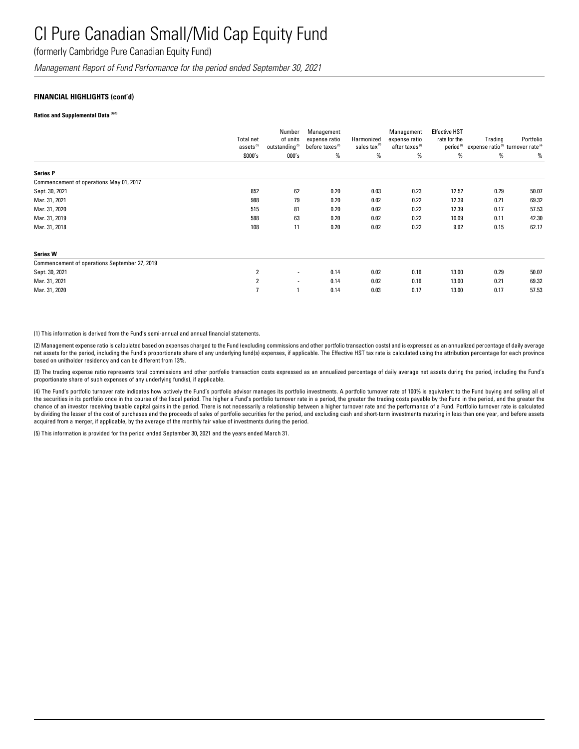(formerly Cambridge Pure Canadian Equity Fund)

*Management Report of Fund Performance for the period ended September 30, 2021*

### **FINANCIAL HIGHLIGHTS (cont'd)**

#### **Ratios and Supplemental Data (1) (5)**

|                                               | <b>Total net</b><br>assets <sup>(5)</sup><br>\$000's | Number<br>of units<br>outstanding <sup>(5)</sup><br>000's | Management<br>expense ratio<br>before taxes <sup>(2)</sup><br>% | Harmonized<br>sales tax<br>% | Management<br>expense ratio<br>after taxes <sup>(2)</sup><br>% | <b>Effective HST</b><br>rate for the<br>period <sup>(2)</sup><br>% | Trading<br>expense ratio <sup>(3)</sup> turnover rate <sup>(4)</sup><br>$\%$ | Portfolio<br>$\%$ |
|-----------------------------------------------|------------------------------------------------------|-----------------------------------------------------------|-----------------------------------------------------------------|------------------------------|----------------------------------------------------------------|--------------------------------------------------------------------|------------------------------------------------------------------------------|-------------------|
| <b>Series P</b>                               |                                                      |                                                           |                                                                 |                              |                                                                |                                                                    |                                                                              |                   |
| Commencement of operations May 01, 2017       |                                                      |                                                           |                                                                 |                              |                                                                |                                                                    |                                                                              |                   |
| Sept. 30, 2021                                | 852                                                  | 62                                                        | 0.20                                                            | 0.03                         | 0.23                                                           | 12.52                                                              | 0.29                                                                         | 50.07             |
| Mar. 31, 2021                                 | 988                                                  | 79                                                        | 0.20                                                            | 0.02                         | 0.22                                                           | 12.39                                                              | 0.21                                                                         | 69.32             |
| Mar. 31, 2020                                 | 515                                                  | 81                                                        | 0.20                                                            | 0.02                         | 0.22                                                           | 12.39                                                              | 0.17                                                                         | 57.53             |
| Mar. 31, 2019                                 | 588                                                  | 63                                                        | 0.20                                                            | 0.02                         | 0.22                                                           | 10.09                                                              | 0.11                                                                         | 42.30             |
| Mar. 31, 2018                                 | 108                                                  | 11                                                        | 0.20                                                            | 0.02                         | 0.22                                                           | 9.92                                                               | 0.15                                                                         | 62.17             |
| <b>Series W</b>                               |                                                      |                                                           |                                                                 |                              |                                                                |                                                                    |                                                                              |                   |
| Commencement of operations September 27, 2019 |                                                      |                                                           |                                                                 |                              |                                                                |                                                                    |                                                                              |                   |
| Sept. 30, 2021                                | 2                                                    | ٠                                                         | 0.14                                                            | 0.02                         | 0.16                                                           | 13.00                                                              | 0.29                                                                         | 50.07             |
| Mar. 31, 2021                                 | $\overline{2}$                                       | ٠                                                         | 0.14                                                            | 0.02                         | 0.16                                                           | 13.00                                                              | 0.21                                                                         | 69.32             |
| Mar. 31, 2020                                 |                                                      |                                                           | 0.14                                                            | 0.03                         | 0.17                                                           | 13.00                                                              | 0.17                                                                         | 57.53             |

(1) This information is derived from the Fund's semi-annual and annual financial statements.

(2) Management expense ratio is calculated based on expenses charged to the Fund (excluding commissions and other portfolio transaction costs) and is expressed as an annualized percentage of daily average net assets for the period, including the Fund's proportionate share of any underlying fund(s) expenses, if applicable. The Effective HST tax rate is calculated using the attribution percentage for each province based on unitholder residency and can be different from 13%.

(3) The trading expense ratio represents total commissions and other portfolio transaction costs expressed as an annualized percentage of daily average net assets during the period, including the Fund's proportionate share of such expenses of any underlying fund(s), if applicable.

(4) The Fund's portfolio turnover rate indicates how actively the Fund's portfolio advisor manages its portfolio investments. A portfolio turnover rate of 100% is equivalent to the Fund buying and selling all of the securities in its portfolio once in the course of the fiscal period. The higher a Fund's portfolio turnover rate in a period, the greater the trading costs payable by the Fund in the period, and the greater the chance of an investor receiving taxable capital gains in the period. There is not necessarily a relationship between a higher turnover rate and the performance of a Fund. Portfolio turnover rate is calculated by dividing the lesser of the cost of purchases and the proceeds of sales of portfolio securities for the period, and excluding cash and short-term investments maturing in less than one year, and before assets acquired from a merger, if applicable, by the average of the monthly fair value of investments during the period.

(5) This information is provided for the period ended September 30, 2021 and the years ended March 31.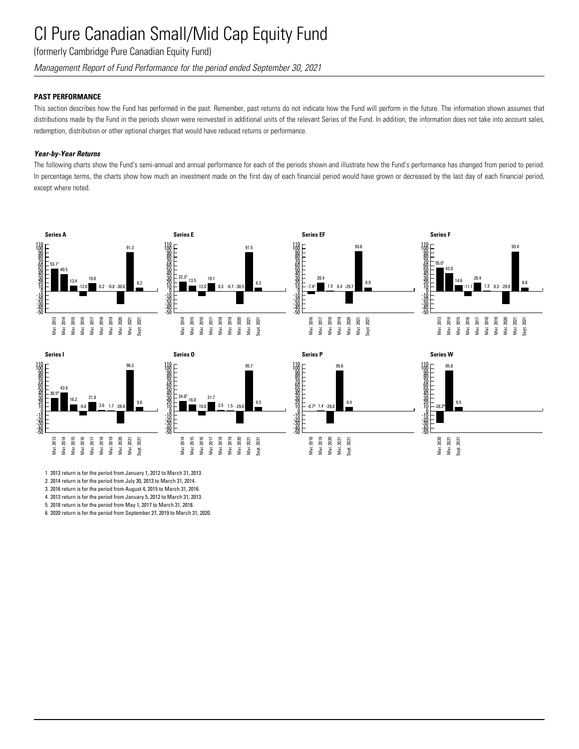(formerly Cambridge Pure Canadian Equity Fund)

*Management Report of Fund Performance for the period ended September 30, 2021*

## **PAST PERFORMANCE**

This section describes how the Fund has performed in the past. Remember, past returns do not indicate how the Fund will perform in the future. The information shown assumes that distributions made by the Fund in the periods shown were reinvested in additional units of the relevant Series of the Fund. In addition, the information does not take into account sales, redemption, distribution or other optional charges that would have reduced returns or performance.

### *Year-by-Year Returns*

The following charts show the Fund's semi-annual and annual performance for each of the periods shown and illustrate how the Fund's performance has changed from period to period. In percentage terms, the charts show how much an investment made on the first day of each financial period would have grown or decreased by the last day of each financial period, except where noted.



1 2013 return is for the period from January 1, 2012 to March 31, 2013.

2 2014 return is for the period from July 30, 2013 to March 31, 2014.

3 2016 return is for the period from August 4, 2015 to March 31, 2016.

4 2013 return is for the period from January 5, 2012 to March 31, 2013.

5 2018 return is for the period from May 1, 2017 to March 31, 2018.

6 2020 return is for the period from September 27, 2019 to March 31, 2020.